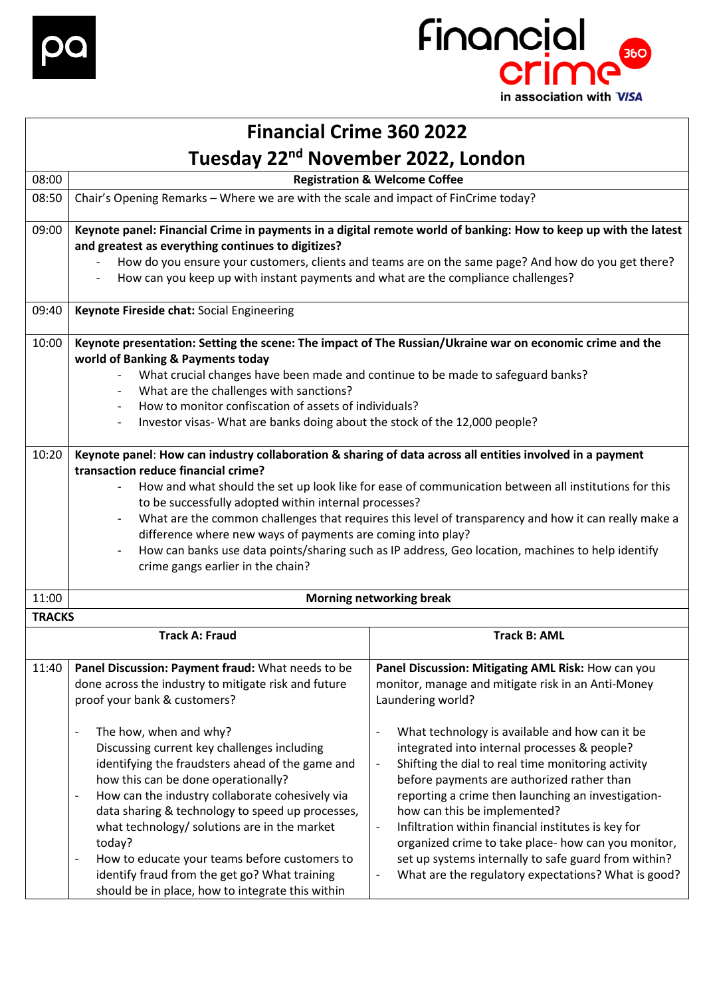



## **Financial Crime 360 2022 Tuesday 22nd November 2022, London**

| 08:00         |                                                                                                                                                                                                                                                                                                                                                                                                                                                                                                                                                                                                                                                                                                                          | <b>Registration &amp; Welcome Coffee</b>                                                                                                                                                                                                                                                                                                                                                                                                                                                                                                                                                                                                                                                             |
|---------------|--------------------------------------------------------------------------------------------------------------------------------------------------------------------------------------------------------------------------------------------------------------------------------------------------------------------------------------------------------------------------------------------------------------------------------------------------------------------------------------------------------------------------------------------------------------------------------------------------------------------------------------------------------------------------------------------------------------------------|------------------------------------------------------------------------------------------------------------------------------------------------------------------------------------------------------------------------------------------------------------------------------------------------------------------------------------------------------------------------------------------------------------------------------------------------------------------------------------------------------------------------------------------------------------------------------------------------------------------------------------------------------------------------------------------------------|
| 08:50         | Chair's Opening Remarks - Where we are with the scale and impact of FinCrime today?                                                                                                                                                                                                                                                                                                                                                                                                                                                                                                                                                                                                                                      |                                                                                                                                                                                                                                                                                                                                                                                                                                                                                                                                                                                                                                                                                                      |
| 09:00         | and greatest as everything continues to digitizes?<br>How can you keep up with instant payments and what are the compliance challenges?<br>$\overline{\phantom{a}}$                                                                                                                                                                                                                                                                                                                                                                                                                                                                                                                                                      | Keynote panel: Financial Crime in payments in a digital remote world of banking: How to keep up with the latest<br>How do you ensure your customers, clients and teams are on the same page? And how do you get there?                                                                                                                                                                                                                                                                                                                                                                                                                                                                               |
| 09:40         | Keynote Fireside chat: Social Engineering                                                                                                                                                                                                                                                                                                                                                                                                                                                                                                                                                                                                                                                                                |                                                                                                                                                                                                                                                                                                                                                                                                                                                                                                                                                                                                                                                                                                      |
| 10:00         | Keynote presentation: Setting the scene: The impact of The Russian/Ukraine war on economic crime and the<br>world of Banking & Payments today<br>What crucial changes have been made and continue to be made to safeguard banks?<br>What are the challenges with sanctions?<br>How to monitor confiscation of assets of individuals?<br>Investor visas- What are banks doing about the stock of the 12,000 people?                                                                                                                                                                                                                                                                                                       |                                                                                                                                                                                                                                                                                                                                                                                                                                                                                                                                                                                                                                                                                                      |
| 10:20         | Keynote panel: How can industry collaboration & sharing of data across all entities involved in a payment<br>transaction reduce financial crime?<br>$\overline{\phantom{0}}$<br>to be successfully adopted within internal processes?<br>difference where new ways of payments are coming into play?<br>crime gangs earlier in the chain?                                                                                                                                                                                                                                                                                                                                                                                | How and what should the set up look like for ease of communication between all institutions for this<br>What are the common challenges that requires this level of transparency and how it can really make a<br>How can banks use data points/sharing such as IP address, Geo location, machines to help identify                                                                                                                                                                                                                                                                                                                                                                                    |
| 11:00         |                                                                                                                                                                                                                                                                                                                                                                                                                                                                                                                                                                                                                                                                                                                          | <b>Morning networking break</b>                                                                                                                                                                                                                                                                                                                                                                                                                                                                                                                                                                                                                                                                      |
| <b>TRACKS</b> |                                                                                                                                                                                                                                                                                                                                                                                                                                                                                                                                                                                                                                                                                                                          |                                                                                                                                                                                                                                                                                                                                                                                                                                                                                                                                                                                                                                                                                                      |
|               | <b>Track A: Fraud</b>                                                                                                                                                                                                                                                                                                                                                                                                                                                                                                                                                                                                                                                                                                    | <b>Track B: AML</b>                                                                                                                                                                                                                                                                                                                                                                                                                                                                                                                                                                                                                                                                                  |
| 11:40         | Panel Discussion: Payment fraud: What needs to be<br>done across the industry to mitigate risk and future<br>proof your bank & customers?<br>The how, when and why?<br>$\overline{\phantom{a}}$<br>Discussing current key challenges including<br>identifying the fraudsters ahead of the game and<br>how this can be done operationally?<br>How can the industry collaborate cohesively via<br>$\overline{\phantom{a}}$<br>data sharing & technology to speed up processes,<br>what technology/ solutions are in the market<br>today?<br>How to educate your teams before customers to<br>$\overline{\phantom{a}}$<br>identify fraud from the get go? What training<br>should be in place, how to integrate this within | Panel Discussion: Mitigating AML Risk: How can you<br>monitor, manage and mitigate risk in an Anti-Money<br>Laundering world?<br>What technology is available and how can it be<br>integrated into internal processes & people?<br>Shifting the dial to real time monitoring activity<br>$\overline{\phantom{a}}$<br>before payments are authorized rather than<br>reporting a crime then launching an investigation-<br>how can this be implemented?<br>Infiltration within financial institutes is key for<br>$\blacksquare$<br>organized crime to take place- how can you monitor,<br>set up systems internally to safe guard from within?<br>What are the regulatory expectations? What is good? |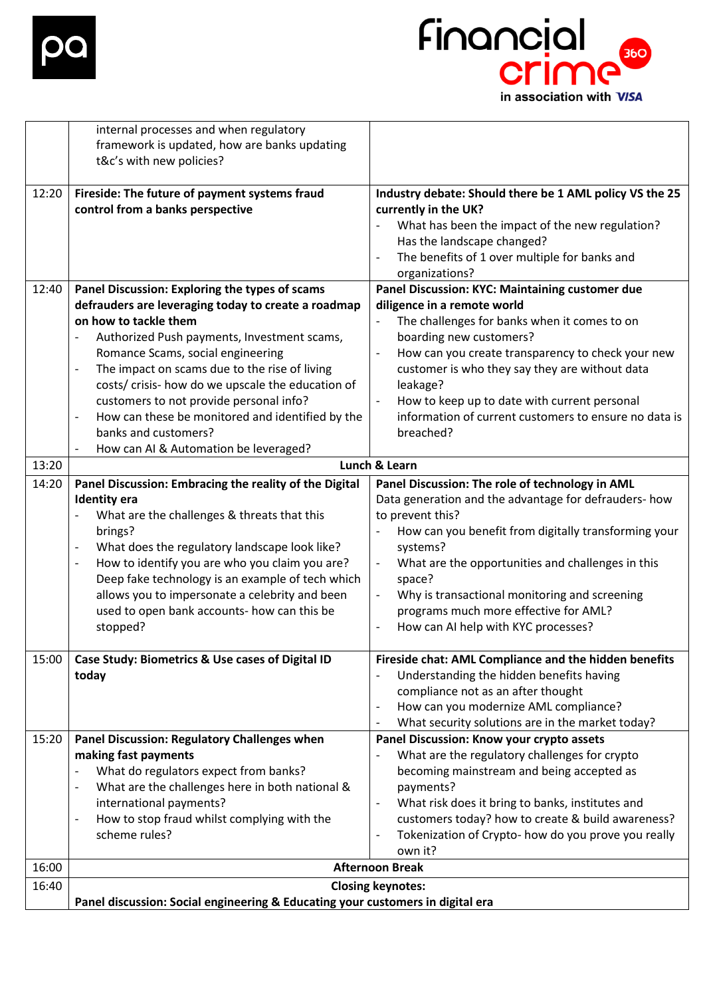



|       | internal processes and when regulatory<br>framework is updated, how are banks updating<br>t&c's with new policies?                                                                                                                                                                                                                                                                                                                                                                                      |                                                                                                                                                                                                                                                                                                                                                                                                                                                |
|-------|---------------------------------------------------------------------------------------------------------------------------------------------------------------------------------------------------------------------------------------------------------------------------------------------------------------------------------------------------------------------------------------------------------------------------------------------------------------------------------------------------------|------------------------------------------------------------------------------------------------------------------------------------------------------------------------------------------------------------------------------------------------------------------------------------------------------------------------------------------------------------------------------------------------------------------------------------------------|
| 12:20 | Fireside: The future of payment systems fraud<br>control from a banks perspective                                                                                                                                                                                                                                                                                                                                                                                                                       | Industry debate: Should there be 1 AML policy VS the 25<br>currently in the UK?<br>What has been the impact of the new regulation?<br>$\overline{\phantom{a}}$<br>Has the landscape changed?<br>The benefits of 1 over multiple for banks and<br>organizations?                                                                                                                                                                                |
| 12:40 | Panel Discussion: Exploring the types of scams<br>defrauders are leveraging today to create a roadmap<br>on how to tackle them<br>Authorized Push payments, Investment scams,<br>Romance Scams, social engineering<br>The impact on scams due to the rise of living<br>$\overline{\phantom{a}}$<br>costs/ crisis- how do we upscale the education of<br>customers to not provide personal info?<br>How can these be monitored and identified by the<br>$\overline{\phantom{a}}$<br>banks and customers? | Panel Discussion: KYC: Maintaining customer due<br>diligence in a remote world<br>The challenges for banks when it comes to on<br>boarding new customers?<br>How can you create transparency to check your new<br>$\blacksquare$<br>customer is who they say they are without data<br>leakage?<br>How to keep up to date with current personal<br>information of current customers to ensure no data is<br>breached?                           |
| 13:20 | How can AI & Automation be leveraged?<br>$\overline{\phantom{a}}$                                                                                                                                                                                                                                                                                                                                                                                                                                       | Lunch & Learn                                                                                                                                                                                                                                                                                                                                                                                                                                  |
| 14:20 | Panel Discussion: Embracing the reality of the Digital<br><b>Identity</b> era<br>What are the challenges & threats that this<br>$\overline{\phantom{a}}$<br>brings?<br>What does the regulatory landscape look like?<br>$\overline{\phantom{a}}$<br>How to identify you are who you claim you are?<br>$\overline{\phantom{a}}$<br>Deep fake technology is an example of tech which<br>allows you to impersonate a celebrity and been<br>used to open bank accounts- how can this be<br>stopped?         | Panel Discussion: The role of technology in AML<br>Data generation and the advantage for defrauders- how<br>to prevent this?<br>How can you benefit from digitally transforming your<br>$\blacksquare$<br>systems?<br>What are the opportunities and challenges in this<br>space?<br>Why is transactional monitoring and screening<br>$\overline{\phantom{a}}$<br>programs much more effective for AML?<br>How can AI help with KYC processes? |
| 15:00 | Case Study: Biometrics & Use cases of Digital ID<br>today                                                                                                                                                                                                                                                                                                                                                                                                                                               | Fireside chat: AML Compliance and the hidden benefits<br>Understanding the hidden benefits having<br>compliance not as an after thought<br>How can you modernize AML compliance?<br>$\blacksquare$<br>What security solutions are in the market today?<br>$\overline{\phantom{a}}$                                                                                                                                                             |
| 15:20 | Panel Discussion: Regulatory Challenges when<br>making fast payments<br>What do regulators expect from banks?<br>$\overline{\phantom{a}}$<br>What are the challenges here in both national &<br>$\overline{\phantom{a}}$<br>international payments?<br>How to stop fraud whilst complying with the<br>$\overline{\phantom{a}}$<br>scheme rules?                                                                                                                                                         | Panel Discussion: Know your crypto assets<br>What are the regulatory challenges for crypto<br>becoming mainstream and being accepted as<br>payments?<br>What risk does it bring to banks, institutes and<br>customers today? how to create & build awareness?<br>Tokenization of Crypto- how do you prove you really<br>own it?                                                                                                                |
| 16:00 | <b>Afternoon Break</b>                                                                                                                                                                                                                                                                                                                                                                                                                                                                                  |                                                                                                                                                                                                                                                                                                                                                                                                                                                |
| 16:40 | Panel discussion: Social engineering & Educating your customers in digital era                                                                                                                                                                                                                                                                                                                                                                                                                          | <b>Closing keynotes:</b>                                                                                                                                                                                                                                                                                                                                                                                                                       |